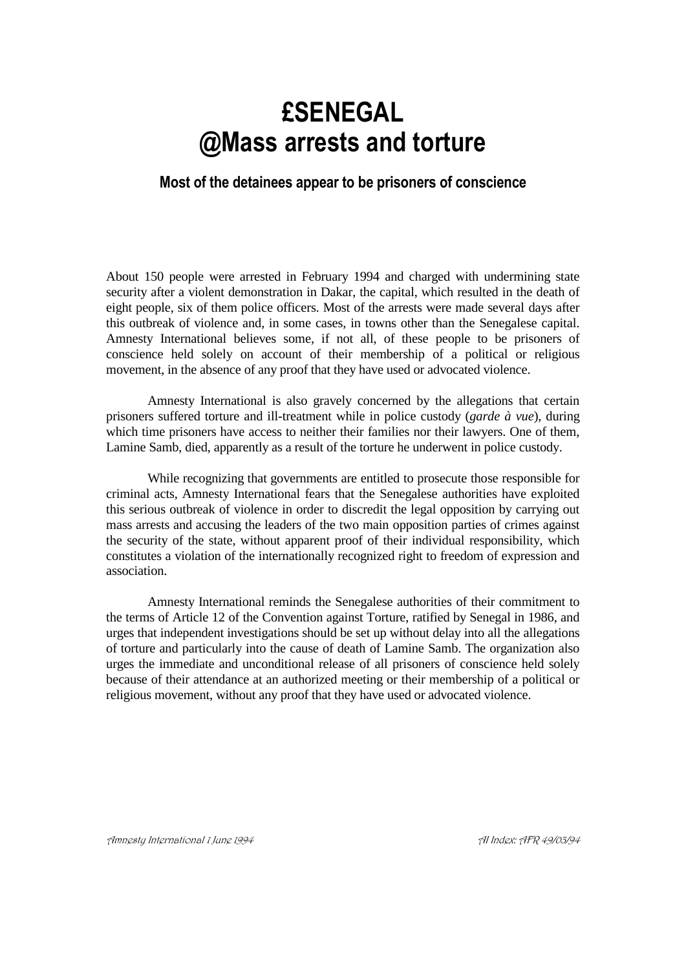# **£SENEGAL @Mass arrests and torture**

## **Most of the detainees appear to be prisoners of conscience**

About 150 people were arrested in February 1994 and charged with undermining state security after a violent demonstration in Dakar, the capital, which resulted in the death of eight people, six of them police officers. Most of the arrests were made several days after this outbreak of violence and, in some cases, in towns other than the Senegalese capital. Amnesty International believes some, if not all, of these people to be prisoners of conscience held solely on account of their membership of a political or religious movement, in the absence of any proof that they have used or advocated violence.

Amnesty International is also gravely concerned by the allegations that certain prisoners suffered torture and ill-treatment while in police custody (*garde à vue*), during which time prisoners have access to neither their families nor their lawyers. One of them, Lamine Samb, died, apparently as a result of the torture he underwent in police custody.

While recognizing that governments are entitled to prosecute those responsible for criminal acts, Amnesty International fears that the Senegalese authorities have exploited this serious outbreak of violence in order to discredit the legal opposition by carrying out mass arrests and accusing the leaders of the two main opposition parties of crimes against the security of the state, without apparent proof of their individual responsibility, which constitutes a violation of the internationally recognized right to freedom of expression and association.

Amnesty International reminds the Senegalese authorities of their commitment to the terms of Article 12 of the Convention against Torture, ratified by Senegal in 1986, and urges that independent investigations should be set up without delay into all the allegations of torture and particularly into the cause of death of Lamine Samb. The organization also urges the immediate and unconditional release of all prisoners of conscience held solely because of their attendance at an authorized meeting or their membership of a political or religious movement, without any proof that they have used or advocated violence.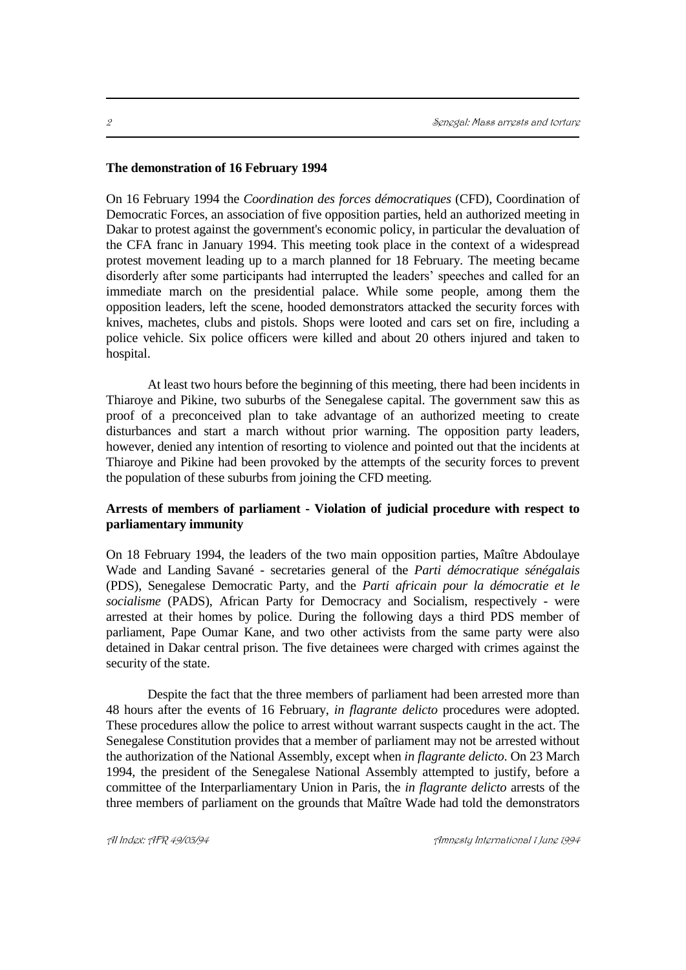#### **The demonstration of 16 February 1994**

On 16 February 1994 the *Coordination des forces démocratiques* (CFD), Coordination of Democratic Forces, an association of five opposition parties, held an authorized meeting in Dakar to protest against the government's economic policy, in particular the devaluation of the CFA franc in January 1994. This meeting took place in the context of a widespread protest movement leading up to a march planned for 18 February. The meeting became disorderly after some participants had interrupted the leaders' speeches and called for an immediate march on the presidential palace. While some people, among them the opposition leaders, left the scene, hooded demonstrators attacked the security forces with knives, machetes, clubs and pistols. Shops were looted and cars set on fire, including a police vehicle. Six police officers were killed and about 20 others injured and taken to hospital.

At least two hours before the beginning of this meeting, there had been incidents in Thiaroye and Pikine, two suburbs of the Senegalese capital. The government saw this as proof of a preconceived plan to take advantage of an authorized meeting to create disturbances and start a march without prior warning. The opposition party leaders, however, denied any intention of resorting to violence and pointed out that the incidents at Thiaroye and Pikine had been provoked by the attempts of the security forces to prevent the population of these suburbs from joining the CFD meeting.

### **Arrests of members of parliament - Violation of judicial procedure with respect to parliamentary immunity**

On 18 February 1994, the leaders of the two main opposition parties, Maître Abdoulaye Wade and Landing Savané - secretaries general of the *Parti démocratique sénégalais* (PDS), Senegalese Democratic Party, and the *Parti africain pour la démocratie et le socialisme* (PADS), African Party for Democracy and Socialism, respectively - were arrested at their homes by police. During the following days a third PDS member of parliament, Pape Oumar Kane, and two other activists from the same party were also detained in Dakar central prison. The five detainees were charged with crimes against the security of the state.

Despite the fact that the three members of parliament had been arrested more than 48 hours after the events of 16 February, *in flagrante delicto* procedures were adopted. These procedures allow the police to arrest without warrant suspects caught in the act. The Senegalese Constitution provides that a member of parliament may not be arrested without the authorization of the National Assembly, except when *in flagrante delicto*. On 23 March 1994, the president of the Senegalese National Assembly attempted to justify, before a committee of the Interparliamentary Union in Paris, the *in flagrante delicto* arrests of the three members of parliament on the grounds that Maître Wade had told the demonstrators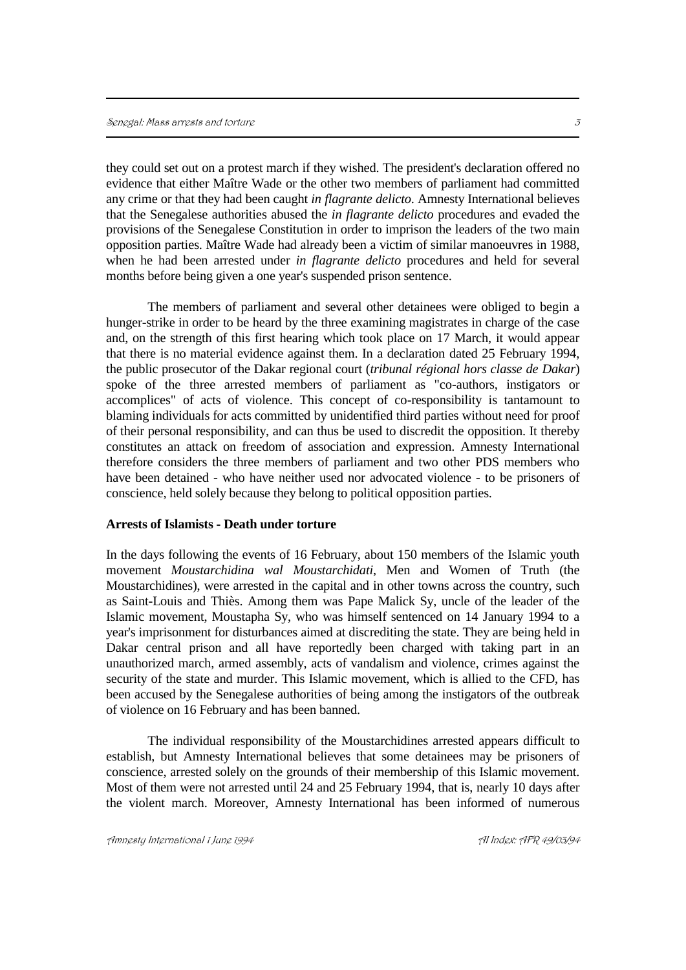they could set out on a protest march if they wished. The president's declaration offered no evidence that either Maître Wade or the other two members of parliament had committed any crime or that they had been caught *in flagrante delicto*. Amnesty International believes that the Senegalese authorities abused the *in flagrante delicto* procedures and evaded the provisions of the Senegalese Constitution in order to imprison the leaders of the two main opposition parties. Maître Wade had already been a victim of similar manoeuvres in 1988, when he had been arrested under *in flagrante delicto* procedures and held for several months before being given a one year's suspended prison sentence.

The members of parliament and several other detainees were obliged to begin a hunger-strike in order to be heard by the three examining magistrates in charge of the case and, on the strength of this first hearing which took place on 17 March, it would appear that there is no material evidence against them. In a declaration dated 25 February 1994, the public prosecutor of the Dakar regional court (*tribunal régional hors classe de Dakar*) spoke of the three arrested members of parliament as "co-authors, instigators or accomplices" of acts of violence. This concept of co-responsibility is tantamount to blaming individuals for acts committed by unidentified third parties without need for proof of their personal responsibility, and can thus be used to discredit the opposition. It thereby constitutes an attack on freedom of association and expression. Amnesty International therefore considers the three members of parliament and two other PDS members who have been detained - who have neither used nor advocated violence - to be prisoners of conscience, held solely because they belong to political opposition parties.

#### **Arrests of Islamists - Death under torture**

In the days following the events of 16 February, about 150 members of the Islamic youth movement *Moustarchidina wal Moustarchidati*, Men and Women of Truth (the Moustarchidines), were arrested in the capital and in other towns across the country, such as Saint-Louis and Thiès. Among them was Pape Malick Sy, uncle of the leader of the Islamic movement, Moustapha Sy, who was himself sentenced on 14 January 1994 to a year's imprisonment for disturbances aimed at discrediting the state. They are being held in Dakar central prison and all have reportedly been charged with taking part in an unauthorized march, armed assembly, acts of vandalism and violence, crimes against the security of the state and murder. This Islamic movement, which is allied to the CFD, has been accused by the Senegalese authorities of being among the instigators of the outbreak of violence on 16 February and has been banned.

The individual responsibility of the Moustarchidines arrested appears difficult to establish, but Amnesty International believes that some detainees may be prisoners of conscience, arrested solely on the grounds of their membership of this Islamic movement. Most of them were not arrested until 24 and 25 February 1994, that is, nearly 10 days after the violent march. Moreover, Amnesty International has been informed of numerous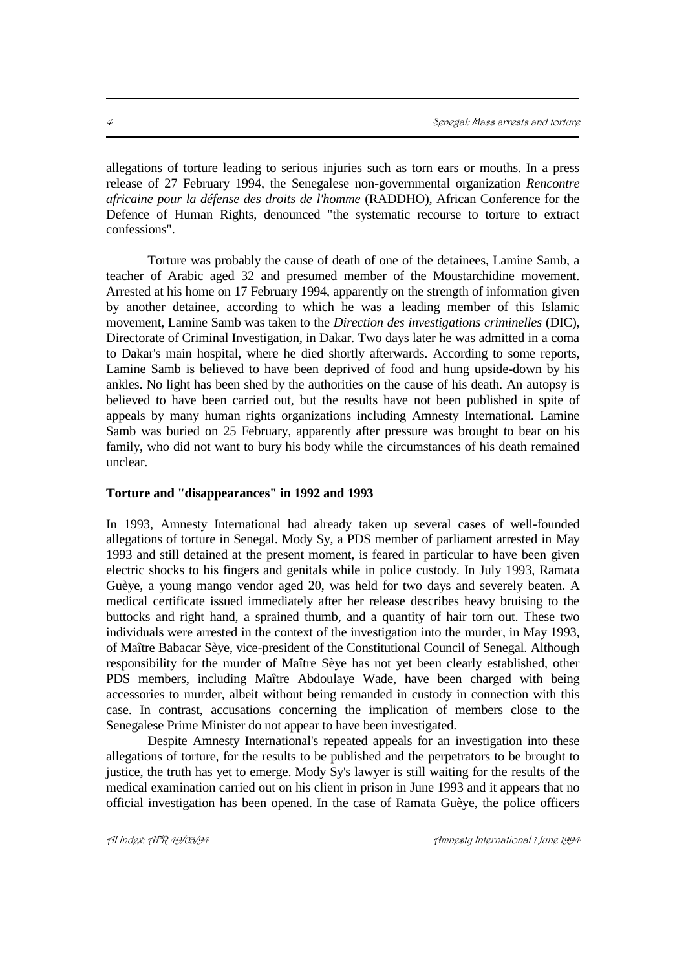allegations of torture leading to serious injuries such as torn ears or mouths. In a press release of 27 February 1994, the Senegalese non-governmental organization *Rencontre africaine pour la défense des droits de l'homme* (RADDHO), African Conference for the Defence of Human Rights, denounced "the systematic recourse to torture to extract confessions".

Torture was probably the cause of death of one of the detainees, Lamine Samb, a teacher of Arabic aged 32 and presumed member of the Moustarchidine movement. Arrested at his home on 17 February 1994, apparently on the strength of information given by another detainee, according to which he was a leading member of this Islamic movement, Lamine Samb was taken to the *Direction des investigations criminelles* (DIC), Directorate of Criminal Investigation, in Dakar. Two days later he was admitted in a coma to Dakar's main hospital, where he died shortly afterwards. According to some reports, Lamine Samb is believed to have been deprived of food and hung upside-down by his ankles. No light has been shed by the authorities on the cause of his death. An autopsy is believed to have been carried out, but the results have not been published in spite of appeals by many human rights organizations including Amnesty International. Lamine Samb was buried on 25 February, apparently after pressure was brought to bear on his family, who did not want to bury his body while the circumstances of his death remained unclear.

#### **Torture and "disappearances" in 1992 and 1993**

In 1993, Amnesty International had already taken up several cases of well-founded allegations of torture in Senegal. Mody Sy, a PDS member of parliament arrested in May 1993 and still detained at the present moment, is feared in particular to have been given electric shocks to his fingers and genitals while in police custody. In July 1993, Ramata Guèye, a young mango vendor aged 20, was held for two days and severely beaten. A medical certificate issued immediately after her release describes heavy bruising to the buttocks and right hand, a sprained thumb, and a quantity of hair torn out. These two individuals were arrested in the context of the investigation into the murder, in May 1993, of Maître Babacar Sèye, vice-president of the Constitutional Council of Senegal. Although responsibility for the murder of Maître Sèye has not yet been clearly established, other PDS members, including Maître Abdoulaye Wade, have been charged with being accessories to murder, albeit without being remanded in custody in connection with this case. In contrast, accusations concerning the implication of members close to the Senegalese Prime Minister do not appear to have been investigated.

Despite Amnesty International's repeated appeals for an investigation into these allegations of torture, for the results to be published and the perpetrators to be brought to justice, the truth has yet to emerge. Mody Sy's lawyer is still waiting for the results of the medical examination carried out on his client in prison in June 1993 and it appears that no official investigation has been opened. In the case of Ramata Guèye, the police officers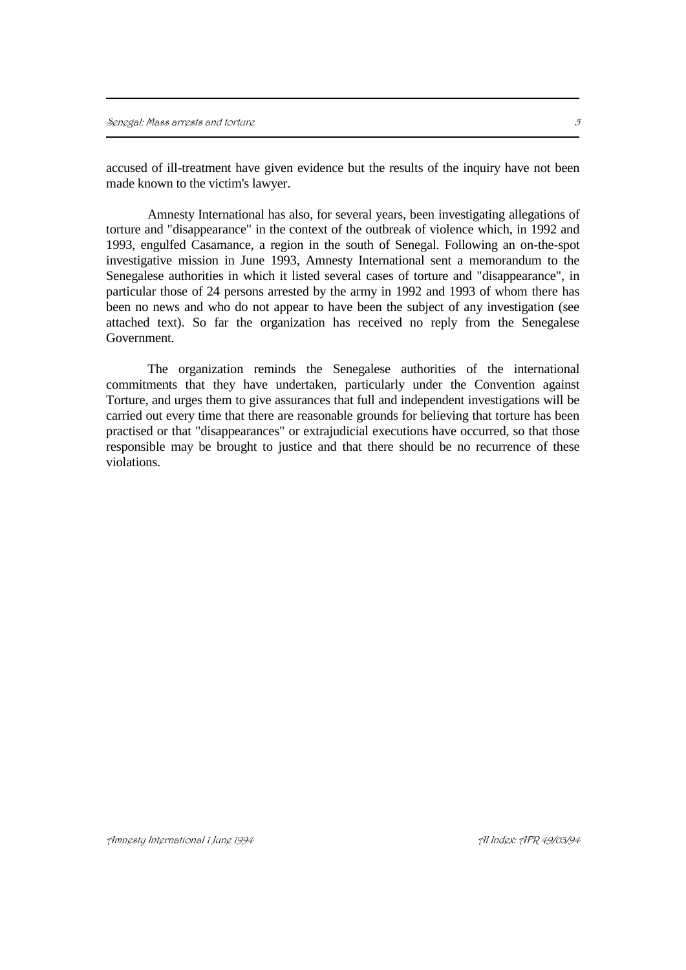accused of ill-treatment have given evidence but the results of the inquiry have not been made known to the victim's lawyer.

Amnesty International has also, for several years, been investigating allegations of torture and "disappearance" in the context of the outbreak of violence which, in 1992 and 1993, engulfed Casamance, a region in the south of Senegal. Following an on-the-spot investigative mission in June 1993, Amnesty International sent a memorandum to the Senegalese authorities in which it listed several cases of torture and "disappearance", in particular those of 24 persons arrested by the army in 1992 and 1993 of whom there has been no news and who do not appear to have been the subject of any investigation (see attached text). So far the organization has received no reply from the Senegalese Government.

The organization reminds the Senegalese authorities of the international commitments that they have undertaken, particularly under the Convention against Torture, and urges them to give assurances that full and independent investigations will be carried out every time that there are reasonable grounds for believing that torture has been practised or that "disappearances" or extrajudicial executions have occurred, so that those responsible may be brought to justice and that there should be no recurrence of these violations.